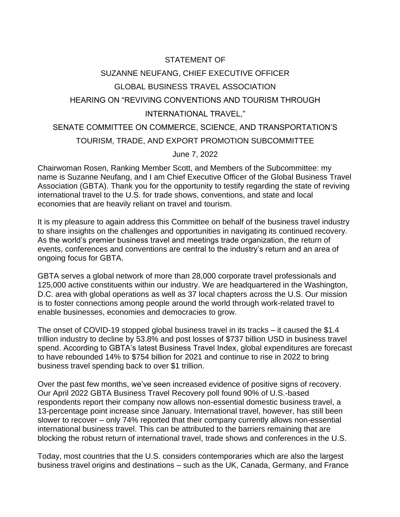## STATEMENT OF SUZANNE NEUFANG, CHIEF EXECUTIVE OFFICER GLOBAL BUSINESS TRAVEL ASSOCIATION HEARING ON "REVIVING CONVENTIONS AND TOURISM THROUGH INTERNATIONAL TRAVEL,"

## SENATE COMMITTEE ON COMMERCE, SCIENCE, AND TRANSPORTATION'S TOURISM, TRADE, AND EXPORT PROMOTION SUBCOMMITTEE

June 7, 2022

Chairwoman Rosen, Ranking Member Scott, and Members of the Subcommittee: my name is Suzanne Neufang, and I am Chief Executive Officer of the Global Business Travel Association (GBTA). Thank you for the opportunity to testify regarding the state of reviving international travel to the U.S. for trade shows, conventions, and state and local economies that are heavily reliant on travel and tourism.

It is my pleasure to again address this Committee on behalf of the business travel industry to share insights on the challenges and opportunities in navigating its continued recovery. As the world's premier business travel and meetings trade organization, the return of events, conferences and conventions are central to the industry's return and an area of ongoing focus for GBTA.

GBTA serves a global network of more than 28,000 corporate travel professionals and 125,000 active constituents within our industry. We are headquartered in the Washington, D.C. area with global operations as well as 37 local chapters across the U.S. Our mission is to foster connections among people around the world through work-related travel to enable businesses, economies and democracies to grow.

The onset of COVID-19 stopped global business travel in its tracks – it caused the \$1.4 trillion industry to decline by 53.8% and post losses of \$737 billion USD in business travel spend. According to GBTA's latest Business Travel Index, global expenditures are forecast to have rebounded 14% to \$754 billion for 2021 and continue to rise in 2022 to bring business travel spending back to over \$1 trillion.

Over the past few months, we've seen increased evidence of positive signs of recovery. Our April 2022 GBTA Business Travel Recovery poll found 90% of U.S.-based respondents report their company now allows non-essential domestic business travel, a 13-percentage point increase since January. International travel, however, has still been slower to recover – only 74% reported that their company currently allows non-essential international business travel. This can be attributed to the barriers remaining that are blocking the robust return of international travel, trade shows and conferences in the U.S.

Today, most countries that the U.S. considers contemporaries which are also the largest business travel origins and destinations – such as the UK, Canada, Germany, and France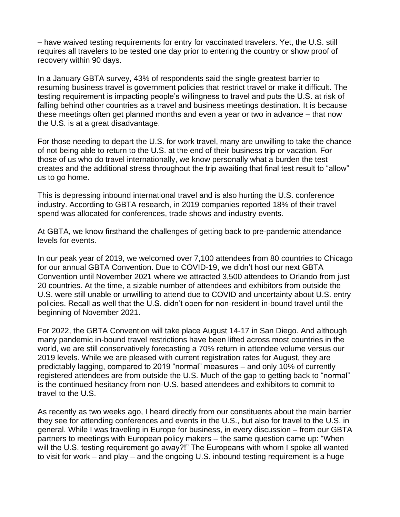– have waived testing requirements for entry for vaccinated travelers. Yet, the U.S. still requires all travelers to be tested one day prior to entering the country or show proof of recovery within 90 days.

In a January GBTA survey, 43% of respondents said the single greatest barrier to resuming business travel is government policies that restrict travel or make it difficult. The testing requirement is impacting people's willingness to travel and puts the U.S. at risk of falling behind other countries as a travel and business meetings destination. It is because these meetings often get planned months and even a year or two in advance – that now the U.S. is at a great disadvantage.

For those needing to depart the U.S. for work travel, many are unwilling to take the chance of not being able to return to the U.S. at the end of their business trip or vacation. For those of us who do travel internationally, we know personally what a burden the test creates and the additional stress throughout the trip awaiting that final test result to "allow" us to go home.

This is depressing inbound international travel and is also hurting the U.S. conference industry. According to GBTA research, in 2019 companies reported 18% of their travel spend was allocated for conferences, trade shows and industry events.

At GBTA, we know firsthand the challenges of getting back to pre-pandemic attendance levels for events.

In our peak year of 2019, we welcomed over 7,100 attendees from 80 countries to Chicago for our annual GBTA Convention. Due to COVID-19, we didn't host our next GBTA Convention until November 2021 where we attracted 3,500 attendees to Orlando from just 20 countries. At the time, a sizable number of attendees and exhibitors from outside the U.S. were still unable or unwilling to attend due to COVID and uncertainty about U.S. entry policies. Recall as well that the U.S. didn't open for non-resident in-bound travel until the beginning of November 2021.

For 2022, the GBTA Convention will take place August 14-17 in San Diego. And although many pandemic in-bound travel restrictions have been lifted across most countries in the world, we are still conservatively forecasting a 70% return in attendee volume versus our 2019 levels. While we are pleased with current registration rates for August, they are predictably lagging, compared to 2019 "normal" measures – and only 10% of currently registered attendees are from outside the U.S. Much of the gap to getting back to "normal" is the continued hesitancy from non-U.S. based attendees and exhibitors to commit to travel to the U.S.

As recently as two weeks ago, I heard directly from our constituents about the main barrier they see for attending conferences and events in the U.S., but also for travel to the U.S. in general. While I was traveling in Europe for business, in every discussion – from our GBTA partners to meetings with European policy makers – the same question came up: "When will the U.S. testing requirement go away?!" The Europeans with whom I spoke all wanted to visit for work – and play – and the ongoing U.S. inbound testing requirement is a huge